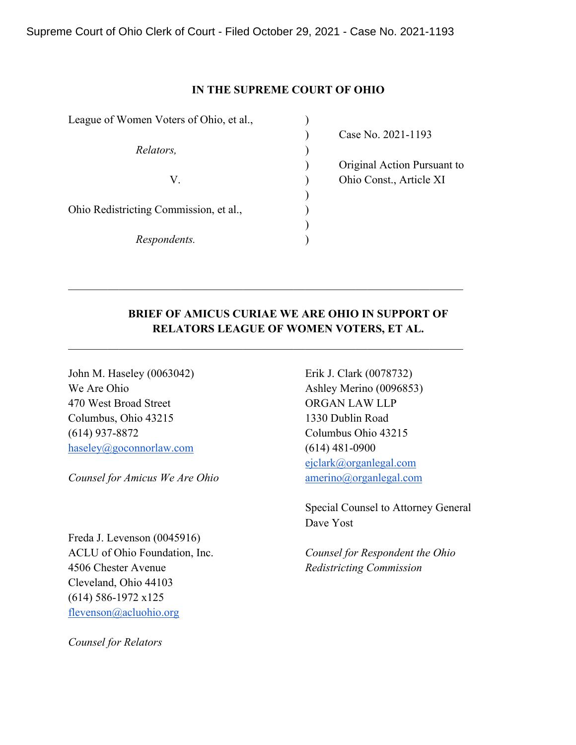# **IN THE SUPREME COURT OF OHIO**

)

)

League of Women Voters of Ohio, et al., *Relators,* ) V. ) Ohio Const., Article XI Ohio Redistricting Commission, et al.,  $\qquad \qquad$ ) *Respondents.* )

) Case No. 2021-1193

) Original Action Pursuant to

# **BRIEF OF AMICUS CURIAE WE ARE OHIO IN SUPPORT OF RELATORS LEAGUE OF WOMEN VOTERS, ET AL.**

 $\mathcal{L}_\mathcal{L} = \mathcal{L}_\mathcal{L} = \mathcal{L}_\mathcal{L} = \mathcal{L}_\mathcal{L} = \mathcal{L}_\mathcal{L} = \mathcal{L}_\mathcal{L} = \mathcal{L}_\mathcal{L} = \mathcal{L}_\mathcal{L} = \mathcal{L}_\mathcal{L} = \mathcal{L}_\mathcal{L} = \mathcal{L}_\mathcal{L} = \mathcal{L}_\mathcal{L} = \mathcal{L}_\mathcal{L} = \mathcal{L}_\mathcal{L} = \mathcal{L}_\mathcal{L} = \mathcal{L}_\mathcal{L} = \mathcal{L}_\mathcal{L}$ 

John M. Haseley (0063042) Erik J. Clark (0078732) We Are Ohio Ashley Merino (0096853) 470 West Broad Street **ORGAN LAW LLP** Columbus, Ohio 43215 1330 Dublin Road (614) 937-8872 Columbus Ohio 43215 haseley@goconnorlaw.com (614) 481-0900

*Counsel for Amicus We Are Ohio* **amerino**@organlegal.com

Freda J. Levenson (0045916) 4506 Chester Avenue *Redistricting Commission* Cleveland, Ohio 44103 (614) 586-1972 x125 flevenson@acluohio.org

*Counsel for Relators*

ejclark@organlegal.com

Special Counsel to Attorney General Dave Yost

ACLU of Ohio Foundation, Inc. *Counsel for Respondent the Ohio*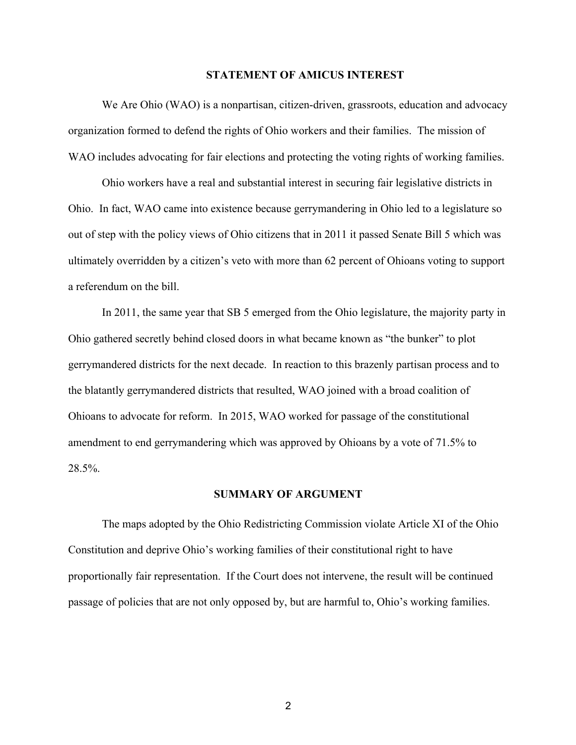#### **STATEMENT OF AMICUS INTEREST**

We Are Ohio (WAO) is a nonpartisan, citizen-driven, grassroots, education and advocacy organization formed to defend the rights of Ohio workers and their families. The mission of WAO includes advocating for fair elections and protecting the voting rights of working families.

Ohio workers have a real and substantial interest in securing fair legislative districts in Ohio. In fact, WAO came into existence because gerrymandering in Ohio led to a legislature so out of step with the policy views of Ohio citizens that in 2011 it passed Senate Bill 5 which was ultimately overridden by a citizen's veto with more than 62 percent of Ohioans voting to support a referendum on the bill.

In 2011, the same year that SB 5 emerged from the Ohio legislature, the majority party in Ohio gathered secretly behind closed doors in what became known as "the bunker" to plot gerrymandered districts for the next decade. In reaction to this brazenly partisan process and to the blatantly gerrymandered districts that resulted, WAO joined with a broad coalition of Ohioans to advocate for reform. In 2015, WAO worked for passage of the constitutional amendment to end gerrymandering which was approved by Ohioans by a vote of 71.5% to 28.5%.

#### **SUMMARY OF ARGUMENT**

The maps adopted by the Ohio Redistricting Commission violate Article XI of the Ohio Constitution and deprive Ohio's working families of their constitutional right to have proportionally fair representation. If the Court does not intervene, the result will be continued passage of policies that are not only opposed by, but are harmful to, Ohio's working families.

2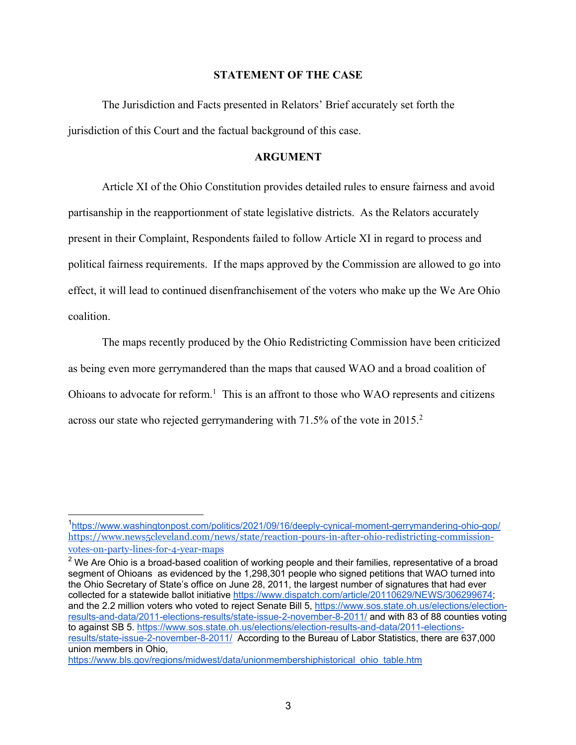#### **STATEMENT OF THE CASE**

The Jurisdiction and Facts presented in Relators' Brief accurately set forth the jurisdiction of this Court and the factual background of this case.

# **ARGUMENT**

Article XI of the Ohio Constitution provides detailed rules to ensure fairness and avoid partisanship in the reapportionment of state legislative districts. As the Relators accurately present in their Complaint, Respondents failed to follow Article XI in regard to process and political fairness requirements. If the maps approved by the Commission are allowed to go into effect, it will lead to continued disenfranchisement of the voters who make up the We Are Ohio coalition.

The maps recently produced by the Ohio Redistricting Commission have been criticized as being even more gerrymandered than the maps that caused WAO and a broad coalition of Ohioans to advocate for reform.<sup>1</sup> This is an affront to those who WAO represents and citizens across our state who rejected gerrymandering with 71.5% of the vote in 2015.<sup>2</sup>

<sup>&</sup>lt;sup>1</sup>https://www.washingtonpost.com/politics/2021/09/16/deeply-cynical-moment-gerrymandering-ohio-gop/ https://www.news5cleveland.com/news/state/reaction-pours-in-after-ohio-redistricting-commissionvotes-on-party-lines-for-4-year-maps

 $2$  We Are Ohio is a broad-based coalition of working people and their families, representative of a broad segment of Ohioans as evidenced by the 1,298,301 people who signed petitions that WAO turned into the Ohio Secretary of State's office on June 28, 2011, the largest number of signatures that had ever collected for a statewide ballot initiative https://www.dispatch.com/article/20110629/NEWS/306299674; and the 2.2 million voters who voted to reject Senate Bill 5, https://www.sos.state.oh.us/elections/electionresults-and-data/2011-elections-results/state-issue-2-november-8-2011/ and with 83 of 88 counties voting to against SB 5. https://www.sos.state.oh.us/elections/election-results-and-data/2011-electionsresults/state-issue-2-november-8-2011/ According to the Bureau of Labor Statistics, there are 637,000 union members in Ohio,

https://www.bls.gov/regions/midwest/data/unionmembershiphistorical\_ohio\_table.htm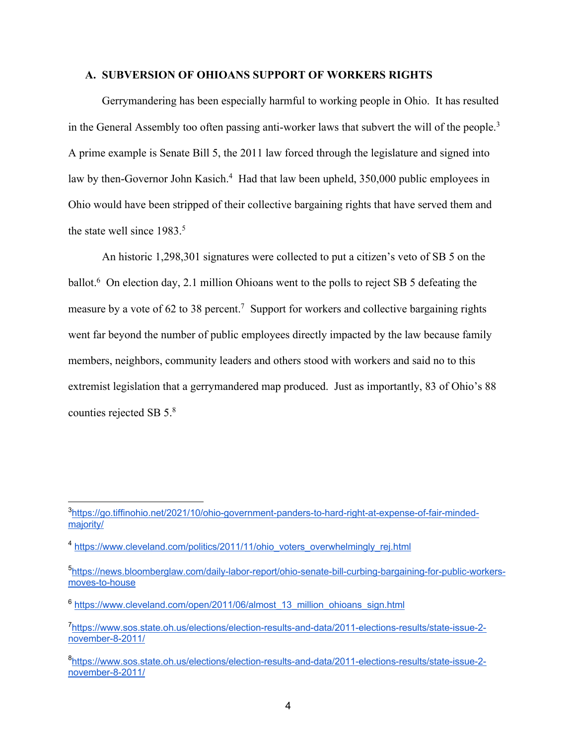#### **A. SUBVERSION OF OHIOANS SUPPORT OF WORKERS RIGHTS**

Gerrymandering has been especially harmful to working people in Ohio. It has resulted in the General Assembly too often passing anti-worker laws that subvert the will of the people.<sup>3</sup> A prime example is Senate Bill 5, the 2011 law forced through the legislature and signed into law by then-Governor John Kasich.<sup>4</sup> Had that law been upheld, 350,000 public employees in Ohio would have been stripped of their collective bargaining rights that have served them and the state well since 1983.<sup>5</sup>

An historic 1,298,301 signatures were collected to put a citizen's veto of SB 5 on the ballot.<sup>6</sup> On election day, 2.1 million Ohioans went to the polls to reject SB 5 defeating the measure by a vote of 62 to 38 percent.<sup>7</sup> Support for workers and collective bargaining rights went far beyond the number of public employees directly impacted by the law because family members, neighbors, community leaders and others stood with workers and said no to this extremist legislation that a gerrymandered map produced. Just as importantly, 83 of Ohio's 88 counties rejected SB 5.8

<sup>&</sup>lt;sup>3</sup>https://go.tiffinohio.net/2021/10/ohio-government-panders-to-hard-right-at-expense-of-fair-mindedmajority/

<sup>&</sup>lt;sup>4</sup> https://www.cleveland.com/politics/2011/11/ohio\_voters\_overwhelmingly\_rej.html

<sup>&</sup>lt;sup>5</sup>https://news.bloomberglaw.com/daily-labor-report/ohio-senate-bill-curbing-bargaining-for-public-workersmoves-to-house

<sup>&</sup>lt;sup>6</sup> https://www.cleveland.com/open/2011/06/almost\_13\_million\_ohioans\_sign.html

<sup>7</sup> https://www.sos.state.oh.us/elections/election-results-and-data/2011-elections-results/state-issue-2 november-8-2011/

<sup>8</sup> https://www.sos.state.oh.us/elections/election-results-and-data/2011-elections-results/state-issue-2 november-8-2011/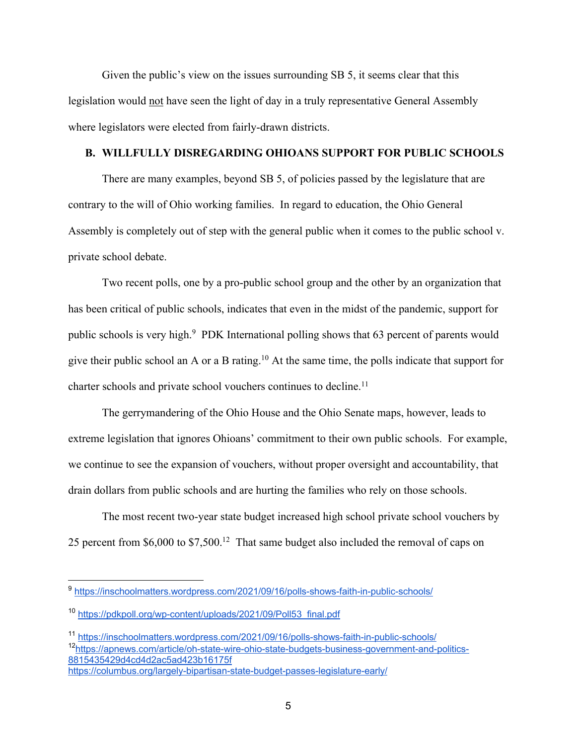Given the public's view on the issues surrounding SB 5, it seems clear that this legislation would not have seen the light of day in a truly representative General Assembly where legislators were elected from fairly-drawn districts.

## **B. WILLFULLY DISREGARDING OHIOANS SUPPORT FOR PUBLIC SCHOOLS**

There are many examples, beyond SB 5, of policies passed by the legislature that are contrary to the will of Ohio working families. In regard to education, the Ohio General Assembly is completely out of step with the general public when it comes to the public school v. private school debate.

Two recent polls, one by a pro-public school group and the other by an organization that has been critical of public schools, indicates that even in the midst of the pandemic, support for public schools is very high.<sup>9</sup> PDK International polling shows that 63 percent of parents would give their public school an A or a B rating.10 At the same time, the polls indicate that support for charter schools and private school vouchers continues to decline.<sup>11</sup>

The gerrymandering of the Ohio House and the Ohio Senate maps, however, leads to extreme legislation that ignores Ohioans' commitment to their own public schools. For example, we continue to see the expansion of vouchers, without proper oversight and accountability, that drain dollars from public schools and are hurting the families who rely on those schools.

The most recent two-year state budget increased high school private school vouchers by 25 percent from \$6,000 to \$7,500.<sup>12</sup> That same budget also included the removal of caps on

<sup>11</sup> https://inschoolmatters.wordpress.com/2021/09/16/polls-shows-faith-in-public-schools/ 12https://apnews.com/article/oh-state-wire-ohio-state-budgets-business-government-and-politics-8815435429d4cd4d2ac5ad423b16175f

<sup>9</sup> https://inschoolmatters.wordpress.com/2021/09/16/polls-shows-faith-in-public-schools/

<sup>10</sup> https://pdkpoll.org/wp-content/uploads/2021/09/Poll53\_final.pdf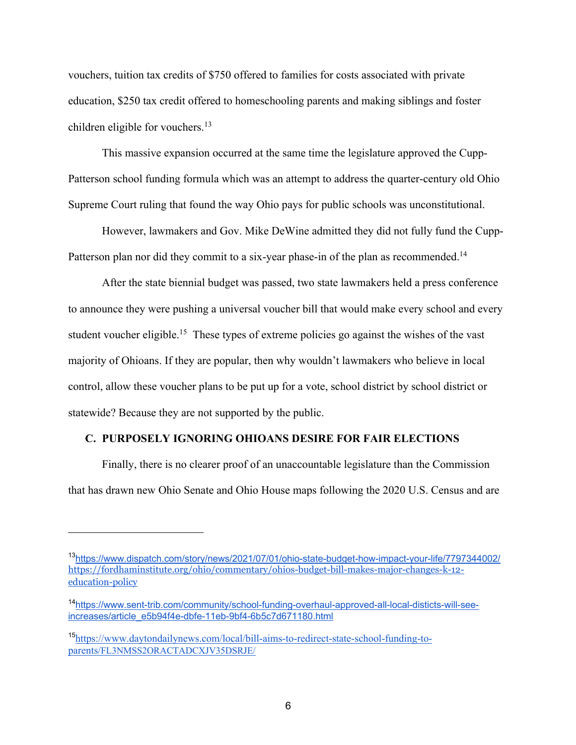vouchers, tuition tax credits of \$750 offered to families for costs associated with private education, \$250 tax credit offered to homeschooling parents and making siblings and foster children eligible for vouchers.<sup>13</sup>

This massive expansion occurred at the same time the legislature approved the Cupp-Patterson school funding formula which was an attempt to address the quarter-century old Ohio Supreme Court ruling that found the way Ohio pays for public schools was unconstitutional.

However, lawmakers and Gov. Mike DeWine admitted they did not fully fund the Cupp-Patterson plan nor did they commit to a six-year phase-in of the plan as recommended.<sup>14</sup>

After the state biennial budget was passed, two state lawmakers held a press conference to announce they were pushing a universal voucher bill that would make every school and every student voucher eligible.<sup>15</sup> These types of extreme policies go against the wishes of the vast majority of Ohioans. If they are popular, then why wouldn't lawmakers who believe in local control, allow these voucher plans to be put up for a vote, school district by school district or statewide? Because they are not supported by the public.

## **C. PURPOSELY IGNORING OHIOANS DESIRE FOR FAIR ELECTIONS**

Finally, there is no clearer proof of an unaccountable legislature than the Commission that has drawn new Ohio Senate and Ohio House maps following the 2020 U.S. Census and are

<sup>13</sup>https://www.dispatch.com/story/news/2021/07/01/ohio-state-budget-how-impact-your-life/7797344002/ https://fordhaminstitute.org/ohio/commentary/ohios-budget-bill-makes-major-changes-k-12 education-policy

<sup>14</sup>https://www.sent-trib.com/community/school-funding-overhaul-approved-all-local-disticts-will-seeincreases/article\_e5b94f4e-dbfe-11eb-9bf4-6b5c7d671180.html

<sup>15</sup>https://www.daytondailynews.com/local/bill-aims-to-redirect-state-school-funding-toparents/FL3NMSS2ORACTADCXJV35DSRJE/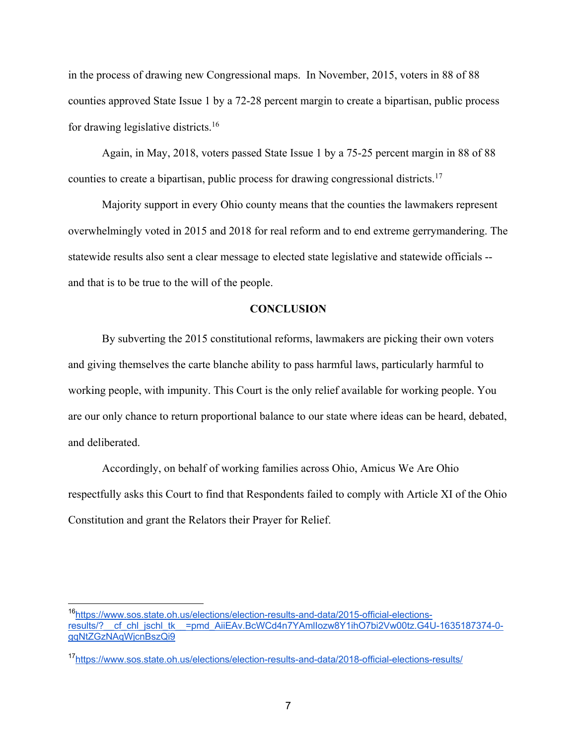in the process of drawing new Congressional maps. In November, 2015, voters in 88 of 88 counties approved State Issue 1 by a 72-28 percent margin to create a bipartisan, public process for drawing legislative districts.16

Again, in May, 2018, voters passed State Issue 1 by a 75-25 percent margin in 88 of 88 counties to create a bipartisan, public process for drawing congressional districts.17

Majority support in every Ohio county means that the counties the lawmakers represent overwhelmingly voted in 2015 and 2018 for real reform and to end extreme gerrymandering. The statewide results also sent a clear message to elected state legislative and statewide officials - and that is to be true to the will of the people.

### **CONCLUSION**

By subverting the 2015 constitutional reforms, lawmakers are picking their own voters and giving themselves the carte blanche ability to pass harmful laws, particularly harmful to working people, with impunity. This Court is the only relief available for working people. You are our only chance to return proportional balance to our state where ideas can be heard, debated, and deliberated.

Accordingly, on behalf of working families across Ohio, Amicus We Are Ohio respectfully asks this Court to find that Respondents failed to comply with Article XI of the Ohio Constitution and grant the Relators their Prayer for Relief.

<sup>16</sup>https://www.sos.state.oh.us/elections/election-results-and-data/2015-official-electionsresults/? cf chl jschl\_tk\_=pmd\_AiiEAv.BcWCd4n7YAmlIozw8Y1ihO7bi2Vw00tz.G4U-1635187374-0gqNtZGzNAqWjcnBszQi9

<sup>17</sup>https://www.sos.state.oh.us/elections/election-results-and-data/2018-official-elections-results/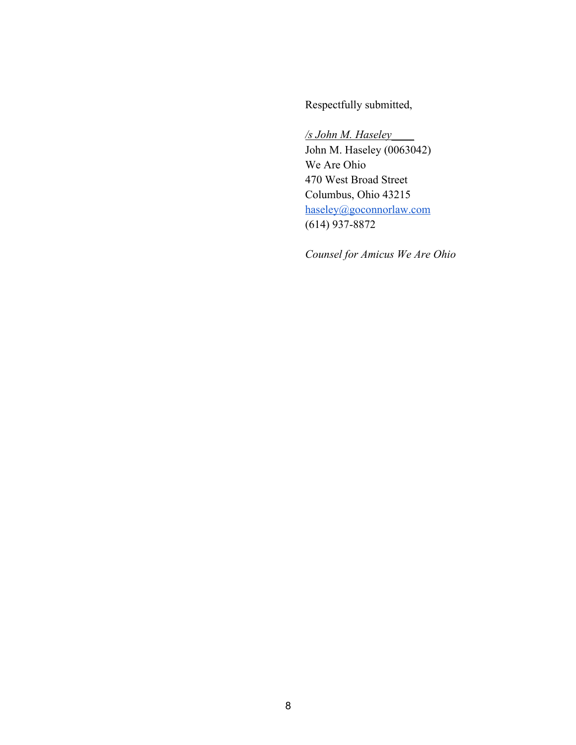Respectfully submitted,

*/s John M. Haseley*\_\_\_\_ John M. Haseley (0063042) We Are Ohio 470 West Broad Street Columbus, Ohio 43215 haseley@goconnorlaw.com (614) 937-8872

*Counsel for Amicus We Are Ohio*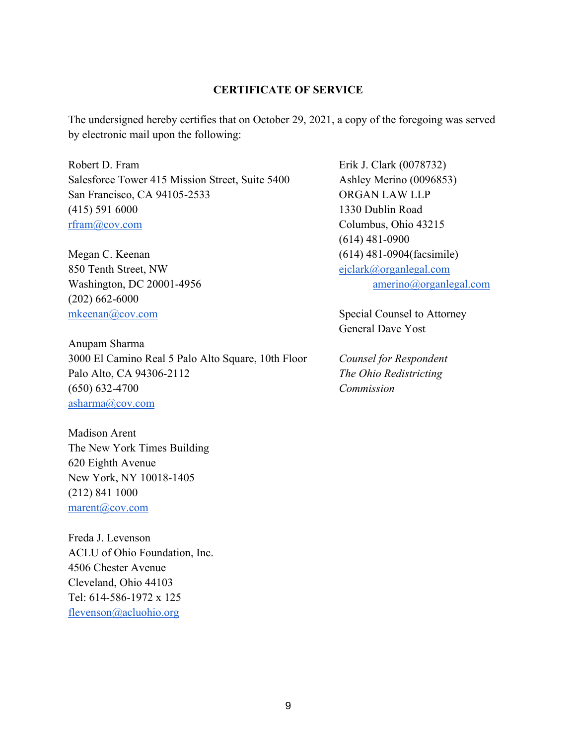### **CERTIFICATE OF SERVICE**

The undersigned hereby certifies that on October 29, 2021, a copy of the foregoing was served by electronic mail upon the following:

Robert D. Fram Erik J. Clark (0078732) Salesforce Tower 415 Mission Street, Suite 5400 Ashley Merino (0096853) San Francisco, CA 94105-2533 ORGAN LAW LLP (415) 591 6000 1330 Dublin Road rfram@cov.com Columbus, Ohio 43215

Megan C. Keenan (614) 481-0904 (facsimile) 850 Tenth Street, NW ejclark@organlegal.com (202) 662-6000 mkeenan@cov.com Special Counsel to Attorney

Anupam Sharma 3000 El Camino Real 5 Palo Alto Square, 10th Floor *Counsel for Respondent* Palo Alto, CA 94306-2112 *The Ohio Redistricting* (650) 632-4700 *Commission* asharma@cov.com

Madison Arent The New York Times Building 620 Eighth Avenue New York, NY 10018-1405 (212) 841 1000 marent@cov.com

Freda J. Levenson ACLU of Ohio Foundation, Inc. 4506 Chester Avenue Cleveland, Ohio 44103 Tel: 614-586-1972 x 125 flevenson@acluohio.org

(614) 481-0900 Washington, DC 20001-4956 amerino@organlegal.com

General Dave Yost